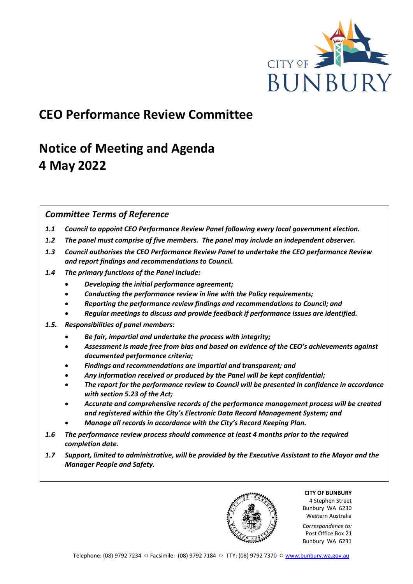

## **CEO Performance Review Committee**

# **Notice of Meeting and Agenda 4 May 2022**

## *Committee Terms of Reference*

- *1.1 Council to appoint CEO Performance Review Panel following every local government election.*
- *1.2 The panel must comprise of five members. The panel may include an independent observer.*
- *1.3 Council authorises the CEO Performance Review Panel to undertake the CEO performance Review and report findings and recommendations to Council.*
- *1.4 The primary functions of the Panel include:*
	- *Developing the initial performance agreement;*
	- *Conducting the performance review in line with the Policy requirements;*
	- *Reporting the performance review findings and recommendations to Council; and*
	- *Regular meetings to discuss and provide feedback if performance issues are identified.*
- *1.5. Responsibilities of panel members:*
	- *Be fair, impartial and undertake the process with integrity;*
	- *Assessment is made free from bias and based on evidence of the CEO's achievements against documented performance criteria;*
	- *Findings and recommendations are impartial and transparent; and*
	- *Any information received or produced by the Panel will be kept confidential;*
	- *The report for the performance review to Council will be presented in confidence in accordance with section 5.23 of the Act;*
	- *Accurate and comprehensive records of the performance management process will be created and registered within the City's Electronic Data Record Management System; and*
	- *Manage all records in accordance with the City's Record Keeping Plan.*
- *1.6 The performance review process should commence at least 4 months prior to the required completion date.*
- *1.7 Support, limited to administrative, will be provided by the Executive Assistant to the Mayor and the Manager People and Safety.*

**CITY OF BUNBURY** 4 Stephen Street Bunbury WA 6230 Western Australia

*Correspondence to:* Post Office Box 21 Bunbury WA 6231

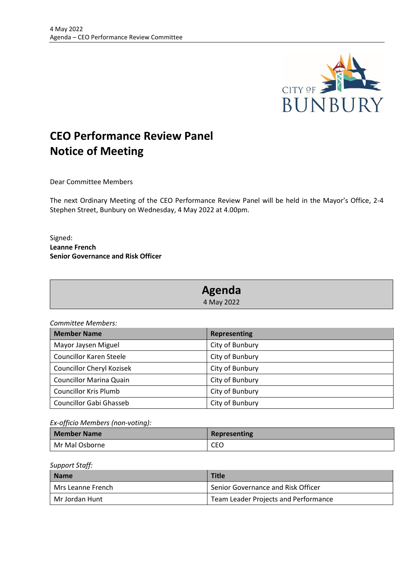

## **CEO Performance Review Panel Notice of Meeting**

Dear Committee Members

The next Ordinary Meeting of the CEO Performance Review Panel will be held in the Mayor's Office, 2-4 Stephen Street, Bunbury on Wednesday, 4 May 2022 at 4.00pm.

Signed: **Leanne French Senior Governance and Risk Officer**

| Agenda     |  |
|------------|--|
| 4 May 2022 |  |

*Committee Members:*

| <b>Member Name</b>               | <b>Representing</b> |
|----------------------------------|---------------------|
| Mayor Jaysen Miguel              | City of Bunbury     |
| Councillor Karen Steele          | City of Bunbury     |
| <b>Councillor Cheryl Kozisek</b> | City of Bunbury     |
| <b>Councillor Marina Quain</b>   | City of Bunbury     |
| <b>Councillor Kris Plumb</b>     | City of Bunbury     |
| Councillor Gabi Ghasseb          | City of Bunbury     |

*Ex-officio Members (non-voting):*

| l Member Name  | Representing |
|----------------|--------------|
| Mr Mal Osborne | CEO          |

## *Support Staff:*

| <b>Name</b>       | <b>Title</b>                         |
|-------------------|--------------------------------------|
| Mrs Leanne French | Senior Governance and Risk Officer   |
| Mr Jordan Hunt    | Team Leader Projects and Performance |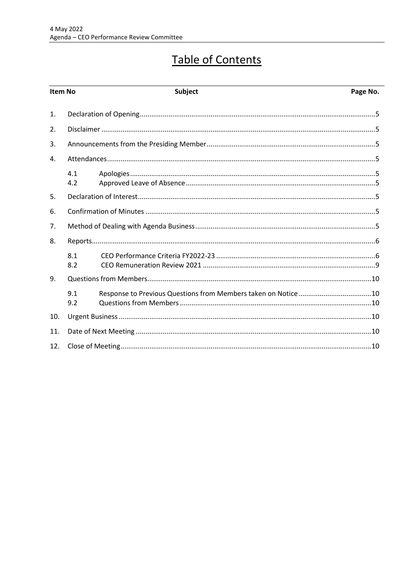# Table of Contents

| <b>Item No</b> |            | Subject | Page No. |
|----------------|------------|---------|----------|
| 1.             |            |         |          |
| 2.             |            |         |          |
| 3.             |            |         |          |
| 4.             |            |         |          |
|                | 4.1<br>4.2 |         |          |
| 5.             |            |         |          |
| 6.             |            |         |          |
| 7.             |            |         |          |
| 8.             |            |         |          |
|                | 8.1<br>8.2 |         |          |
| 9.             |            |         |          |
|                | 9.1<br>9.2 |         |          |
| 10.            |            |         |          |
| 11.            |            |         |          |
| 12.            |            |         |          |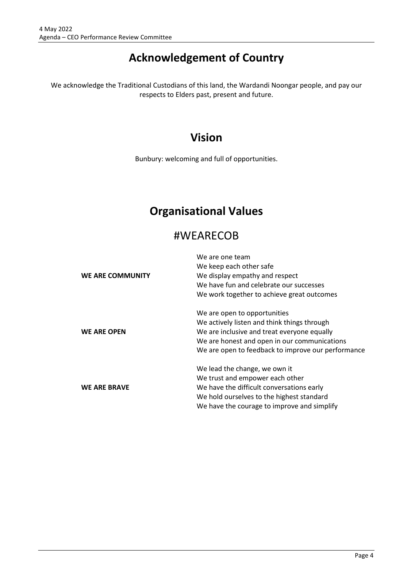## **Acknowledgement of Country**

We acknowledge the Traditional Custodians of this land, the Wardandi Noongar people, and pay our respects to Elders past, present and future.

## **Vision**

Bunbury: welcoming and full of opportunities.

## **Organisational Values**

## #WEARECOB

|                         | We are one team                                    |  |
|-------------------------|----------------------------------------------------|--|
|                         | We keep each other safe                            |  |
| <b>WE ARE COMMUNITY</b> | We display empathy and respect                     |  |
|                         | We have fun and celebrate our successes            |  |
|                         | We work together to achieve great outcomes         |  |
|                         | We are open to opportunities                       |  |
|                         | We actively listen and think things through        |  |
| <b>WE ARE OPEN</b>      | We are inclusive and treat everyone equally        |  |
|                         | We are honest and open in our communications       |  |
|                         | We are open to feedback to improve our performance |  |
|                         | We lead the change, we own it                      |  |
|                         | We trust and empower each other                    |  |
| <b>WE ARE BRAVE</b>     | We have the difficult conversations early          |  |
|                         | We hold ourselves to the highest standard          |  |
|                         | We have the courage to improve and simplify        |  |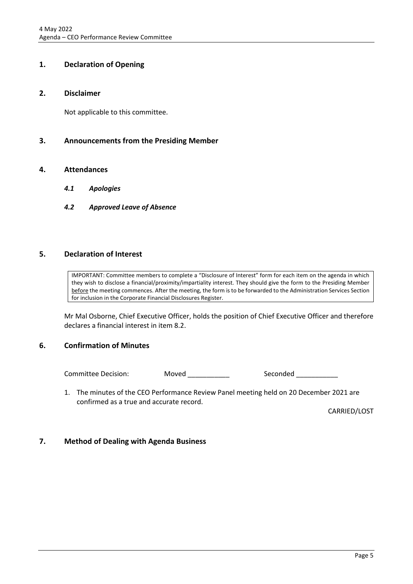## <span id="page-4-0"></span>**1. Declaration of Opening**

## <span id="page-4-1"></span>**2. Disclaimer**

Not applicable to this committee.

## <span id="page-4-2"></span>**3. Announcements from the Presiding Member**

## <span id="page-4-4"></span><span id="page-4-3"></span>**4. Attendances**

- *4.1 Apologies*
- <span id="page-4-5"></span>*4.2 Approved Leave of Absence*

## <span id="page-4-6"></span>**5. Declaration of Interest**

IMPORTANT: Committee members to complete a "Disclosure of Interest" form for each item on the agenda in which they wish to disclose a financial/proximity/impartiality interest. They should give the form to the Presiding Member before the meeting commences. After the meeting, the form is to be forwarded to the Administration Services Section for inclusion in the Corporate Financial Disclosures Register.

Mr Mal Osborne, Chief Executive Officer, holds the position of Chief Executive Officer and therefore declares a financial interest in item 8.2.

## <span id="page-4-7"></span>**6. Confirmation of Minutes**

Committee Decision: Moved \_\_\_\_\_\_\_\_\_\_\_ Seconded \_\_\_\_\_\_\_\_\_\_

1. The minutes of the CEO Performance Review Panel meeting held on 20 December 2021 are confirmed as a true and accurate record.

CARRIED/LOST

## <span id="page-4-8"></span>**7. Method of Dealing with Agenda Business**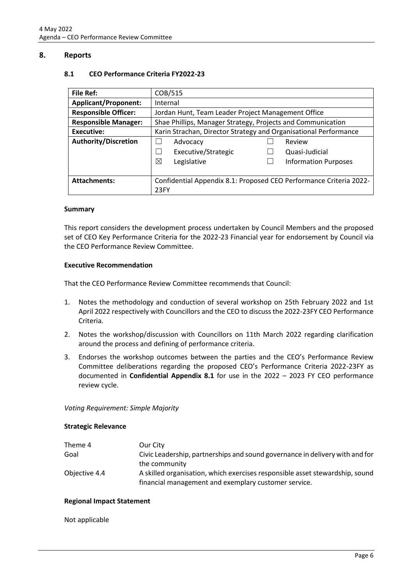## <span id="page-5-1"></span><span id="page-5-0"></span>**8. Reports**

#### **8.1 CEO Performance Criteria FY2022-23**

| <b>File Ref:</b>            | COB/515                                                            |                             |  |
|-----------------------------|--------------------------------------------------------------------|-----------------------------|--|
| <b>Applicant/Proponent:</b> | Internal                                                           |                             |  |
| <b>Responsible Officer:</b> | Jordan Hunt, Team Leader Project Management Office                 |                             |  |
| <b>Responsible Manager:</b> | Shae Phillips, Manager Strategy, Projects and Communication        |                             |  |
| Executive:                  | Karin Strachan, Director Strategy and Organisational Performance   |                             |  |
| <b>Authority/Discretion</b> | Advocacy                                                           | Review                      |  |
|                             | Executive/Strategic                                                | Quasi-Judicial              |  |
|                             | ⊠<br>Legislative                                                   | <b>Information Purposes</b> |  |
|                             |                                                                    |                             |  |
| <b>Attachments:</b>         | Confidential Appendix 8.1: Proposed CEO Performance Criteria 2022- |                             |  |
|                             | 23FY                                                               |                             |  |

#### **Summary**

This report considers the development process undertaken by Council Members and the proposed set of CEO Key Performance Criteria for the 2022-23 Financial year for endorsement by Council via the CEO Performance Review Committee.

#### **Executive Recommendation**

That the CEO Performance Review Committee recommends that Council:

- 1. Notes the methodology and conduction of several workshop on 25th February 2022 and 1st April 2022 respectively with Councillors and the CEO to discuss the 2022-23FY CEO Performance Criteria.
- 2. Notes the workshop/discussion with Councillors on 11th March 2022 regarding clarification around the process and defining of performance criteria.
- 3. Endorses the workshop outcomes between the parties and the CEO's Performance Review Committee deliberations regarding the proposed CEO's Performance Criteria 2022-23FY as documented in **Confidential Appendix 8.1** for use in the 2022 – 2023 FY CEO performance review cycle.

*Voting Requirement: Simple Majority* 

#### **Strategic Relevance**

| Theme 4       | Our City                                                                     |
|---------------|------------------------------------------------------------------------------|
| Goal          | Civic Leadership, partnerships and sound governance in delivery with and for |
|               | the community                                                                |
| Objective 4.4 | A skilled organisation, which exercises responsible asset stewardship, sound |
|               | financial management and exemplary customer service.                         |

### **Regional Impact Statement**

#### Not applicable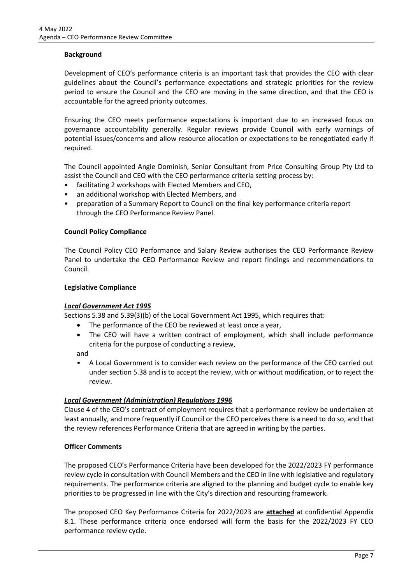## **Background**

Development of CEO's performance criteria is an important task that provides the CEO with clear guidelines about the Council's performance expectations and strategic priorities for the review period to ensure the Council and the CEO are moving in the same direction, and that the CEO is accountable for the agreed priority outcomes.

Ensuring the CEO meets performance expectations is important due to an increased focus on governance accountability generally. Regular reviews provide Council with early warnings of potential issues/concerns and allow resource allocation or expectations to be renegotiated early if required.

The Council appointed Angie Dominish, Senior Consultant from Price Consulting Group Pty Ltd to assist the Council and CEO with the CEO performance criteria setting process by:

- facilitating 2 workshops with Elected Members and CEO,
- an additional workshop with Elected Members, and
- preparation of a Summary Report to Council on the final key performance criteria report through the CEO Performance Review Panel.

### **Council Policy Compliance**

The Council Policy CEO Performance and Salary Review authorises the CEO Performance Review Panel to undertake the CEO Performance Review and report findings and recommendations to Council.

#### **Legislative Compliance**

### *Local Government Act 1995*

Sections 5.38 and 5.39(3)(b) of the Local Government Act 1995, which requires that:

- The performance of the CEO be reviewed at least once a year,
- The CEO will have a written contract of employment, which shall include performance criteria for the purpose of conducting a review,

and

• A Local Government is to consider each review on the performance of the CEO carried out under section 5.38 and is to accept the review, with or without modification, or to reject the review.

## *Local Government (Administration) Regulations 1996*

Clause 4 of the CEO's contract of employment requires that a performance review be undertaken at least annually, and more frequently if Council or the CEO perceives there is a need to do so, and that the review references Performance Criteria that are agreed in writing by the parties.

### **Officer Comments**

The proposed CEO's Performance Criteria have been developed for the 2022/2023 FY performance review cycle in consultation with Council Members and the CEO in line with legislative and regulatory requirements. The performance criteria are aligned to the planning and budget cycle to enable key priorities to be progressed in line with the City's direction and resourcing framework.

The proposed CEO Key Performance Criteria for 2022/2023 are **attached** at confidential Appendix 8.1. These performance criteria once endorsed will form the basis for the 2022/2023 FY CEO performance review cycle.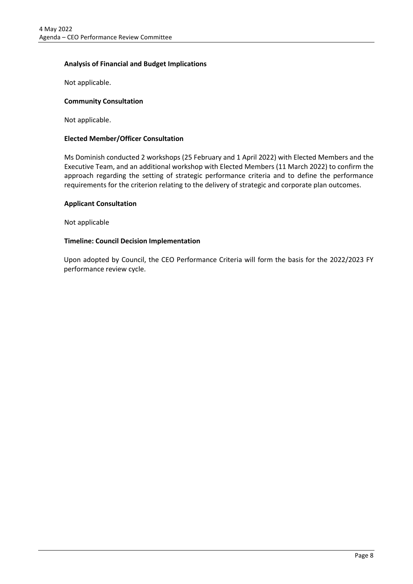## **Analysis of Financial and Budget Implications**

Not applicable.

## **Community Consultation**

Not applicable.

## **Elected Member/Officer Consultation**

Ms Dominish conducted 2 workshops (25 February and 1 April 2022) with Elected Members and the Executive Team, and an additional workshop with Elected Members (11 March 2022) to confirm the approach regarding the setting of strategic performance criteria and to define the performance requirements for the criterion relating to the delivery of strategic and corporate plan outcomes.

## **Applicant Consultation**

Not applicable

## **Timeline: Council Decision Implementation**

Upon adopted by Council, the CEO Performance Criteria will form the basis for the 2022/2023 FY performance review cycle.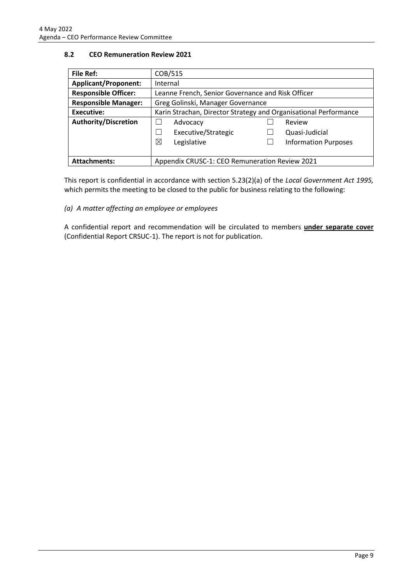## <span id="page-8-0"></span>**8.2 CEO Remuneration Review 2021**

| <b>File Ref:</b>            | COB/515                                                          |  |
|-----------------------------|------------------------------------------------------------------|--|
| <b>Applicant/Proponent:</b> | Internal                                                         |  |
| <b>Responsible Officer:</b> | Leanne French, Senior Governance and Risk Officer                |  |
| <b>Responsible Manager:</b> | Greg Golinski, Manager Governance                                |  |
| Executive:                  | Karin Strachan, Director Strategy and Organisational Performance |  |
| <b>Authority/Discretion</b> | Review<br>Advocacy                                               |  |
|                             | Executive/Strategic<br>Quasi-Judicial                            |  |
|                             | ⊠<br><b>Information Purposes</b><br>Legislative                  |  |
|                             |                                                                  |  |
| <b>Attachments:</b>         | Appendix CRUSC-1: CEO Remuneration Review 2021                   |  |

This report is confidential in accordance with section 5.23(2)(a) of the *Local Government Act 1995,*  which permits the meeting to be closed to the public for business relating to the following:

### *(a) A matter affecting an employee or employees*

A confidential report and recommendation will be circulated to members **under separate cover** (Confidential Report CRSUC-1). The report is not for publication.